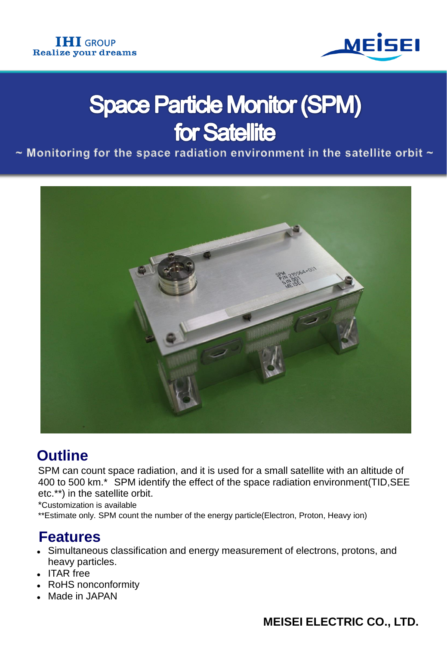

# **Space Particle Monitor (SPM) for Satellite**

 $\sim$  Monitoring for the space radiation environment in the satellite orbit  $\sim$ 



## **Outline**

SPM can count space radiation, and it is used for a small satellite with an altitude of 400 to 500 km.\* SPM identify the effect of the space radiation environment(TID,SEE etc.\*\*) in the satellite orbit.

\*Customization is available

\*\*Estimate only. SPM count the number of the energy particle(Electron, Proton, Heavy ion)

## **Features**

- Simultaneous classification and energy measurement of electrons, protons, and heavy particles.
- ITAR free
- RoHS nonconformity
- Made in JAPAN

#### **MEISEI ELECTRIC CO., LTD.**